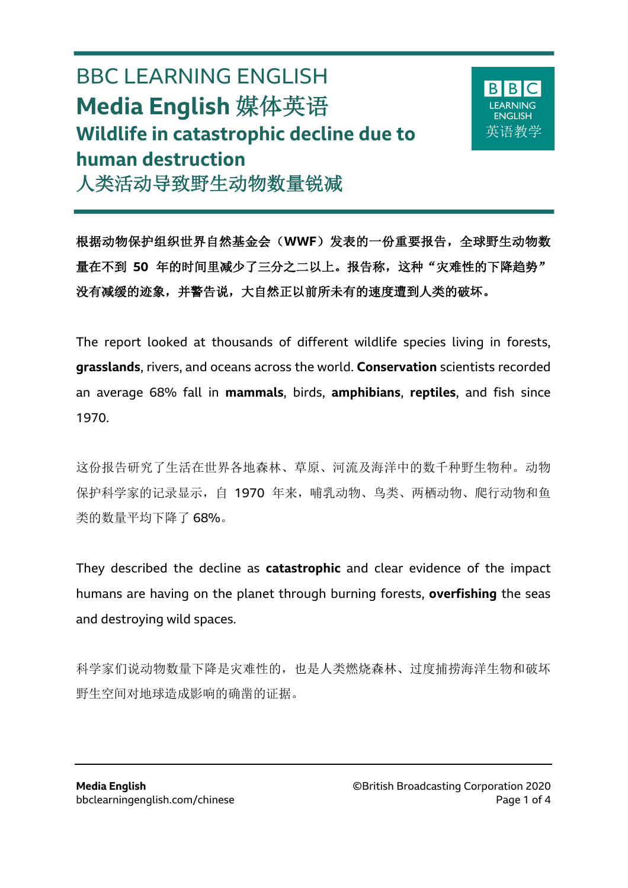## BBC LEARNING ENGLISH **Media English** 媒体英语 **Wildlife in catastrophic decline due to human destruction** 人类活动导致野生动物数量锐减

 $\overline{a}$ 



根据动物保护组织世界自然基金会(**WWF**)发表的一份重要报告,全球野生动物数 量在不到 **50** 年的时间里减少了三分之二以上。报告称,这种"灾难性的下降趋势" 没有减缓的迹象,并警告说,大自然正以前所未有的速度遭到人类的破坏。

The report looked at thousands of different wildlife species living in forests, **grasslands**, rivers, and oceans across the world. **Conservation** scientists recorded an average 68% fall in **mammals**, birds, **amphibians**, **reptiles**, and fish since 1970.

这份报告研究了生活在世界各地森林、草原、河流及海洋中的数千种野生物种。动物 保护科学家的记录显示,自 1970 年来,哺乳动物、鸟类、两栖动物、爬行动物和鱼 类的数量平均下降了 68%。

They described the decline as **catastrophic** and clear evidence of the impact humans are having on the planet through burning forests, **overfishing** the seas and destroying wild spaces.

科学家们说动物数量下降是灾难性的,也是人类燃烧森林、过度捕捞海洋生物和破坏 野生空间对地球造成影响的确凿的证据。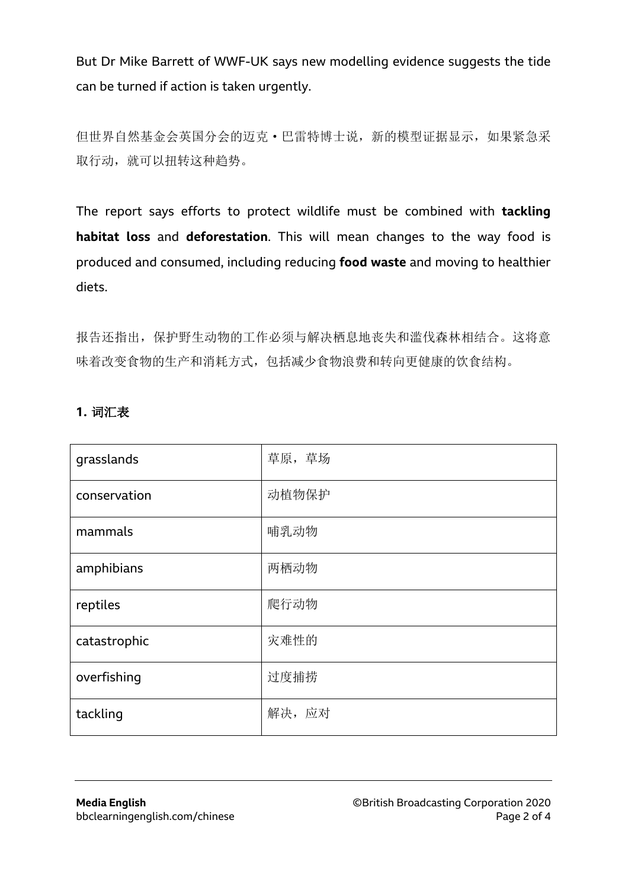But Dr Mike Barrett of WWF-UK says new modelling evidence suggests the tide can be turned if action is taken urgently.

但世界自然基金会英国分会的迈克·巴雷特博士说,新的模型证据显示,如果紧急采 取行动, 就可以扭转这种趋势。

The report says efforts to protect wildlife must be combined with **tackling habitat loss** and **deforestation**. This will mean changes to the way food is produced and consumed, including reducing **food waste** and moving to healthier diets.

报告还指出,保护野生动物的工作必须与解决栖息地丧失和滥伐森林相结合。这将意 味着改变食物的生产和消耗方式,包括减少食物浪费和转向更健康的饮食结构。

## **1.** 词汇表

| grasslands   | 草原, 草场 |
|--------------|--------|
| conservation | 动植物保护  |
| mammals      | 哺乳动物   |
| amphibians   | 两栖动物   |
| reptiles     | 爬行动物   |
| catastrophic | 灾难性的   |
| overfishing  | 过度捕捞   |
| tackling     | 解决,应对  |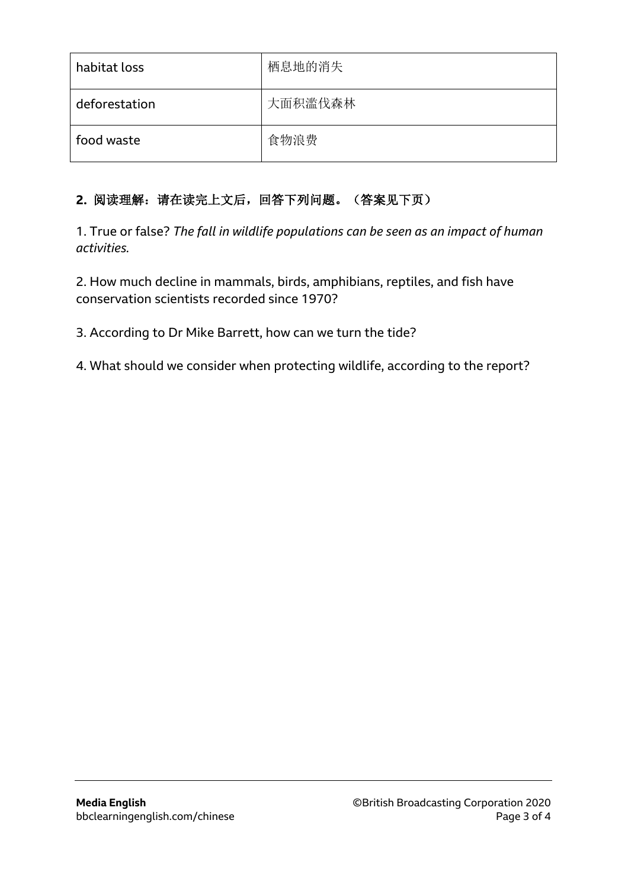| habitat loss  | 栖息地的消失  |
|---------------|---------|
| deforestation | 大面积滥伐森林 |
| food waste    | 食物浪费    |

## **2.** 阅读理解:请在读完上文后,回答下列问题。(答案见下页)

1. True or false? *The fall in wildlife populations can be seen as an impact of human activities.*

2. How much decline in mammals, birds, amphibians, reptiles, and fish have conservation scientists recorded since 1970?

3. According to Dr Mike Barrett, how can we turn the tide?

4. What should we consider when protecting wildlife, according to the report?